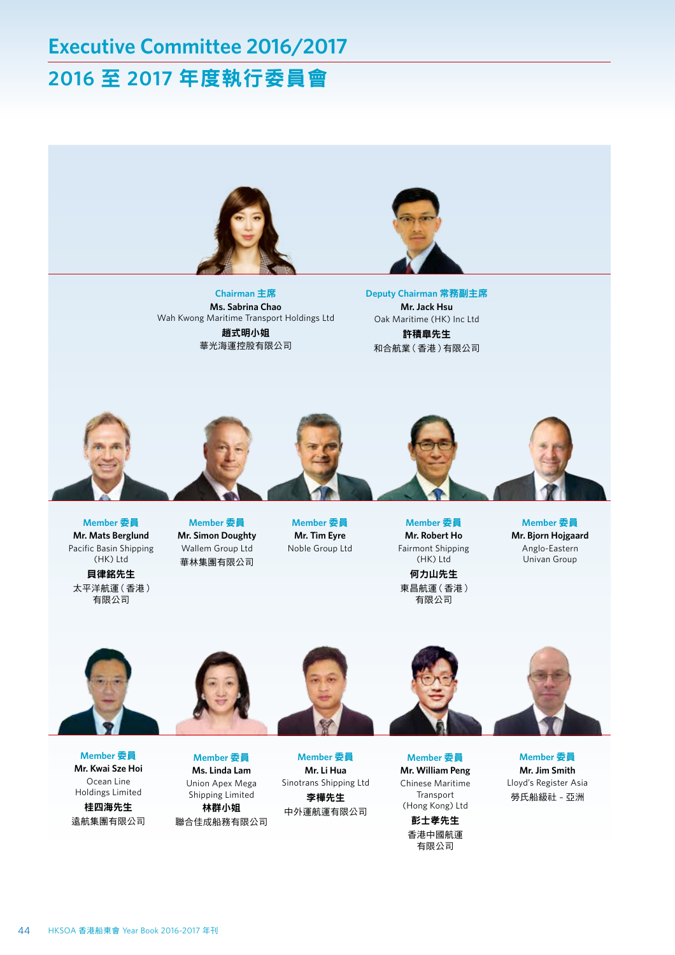## **Executive Committee 2016/2017 2016** 至 **2017** 年度執行委員會



**Chairman** 主席 **Ms. Sabrina Chao** Wah Kwong Maritime Transport Holdings Ltd 趙式明小姐 華光海運控股有限公司

**Deputy Chairman** 常務副主席 **Mr. Jack Hsu** Oak Maritime (HK) Inc Ltd 許積皐先生 和合航業(香港)有限公司



**Member** 委員 **Mr. Mats Berglund** Pacific Basin Shipping (HK) Ltd 貝律銘先生

太平洋航運(香港) 有限公司

**Member** 委員 **Mr. Simon Doughty** Wallem Group Ltd 華林集團有限公司

**Member** 委員 **Mr. Tim Eyre** Noble Group Ltd

**Member** 委員 **Mr. Robert Ho** Fairmont Shipping (HK) Ltd 何力山先生 東昌航運(香港) 有限公司

**Member** 委員 **Mr. Bjorn Hojgaard** Anglo-Eastern Univan Group



**Member** 委員 **Mr. Kwai Sze Hoi** Ocean Line Holdings Limited 桂四海先生 遠航集團有限公司



**Member** 委員 **Ms. Linda Lam** Union Apex Mega Shipping Limited 林群小姐 聯合佳成船務有限公司

**Member** 委員 **Mr. Li Hua** Sinotrans Shipping Ltd 李樺先生 中外運航運有限公司

**Member** 委員 **Mr. William Peng** Chinese Maritime Transport (Hong Kong) Ltd 彭士孝先生 香港中國航運 有限公司

**Member** 委員 **Mr. Jim Smith** Lloyd's Register Asia 勞氏船級社 – 亞洲